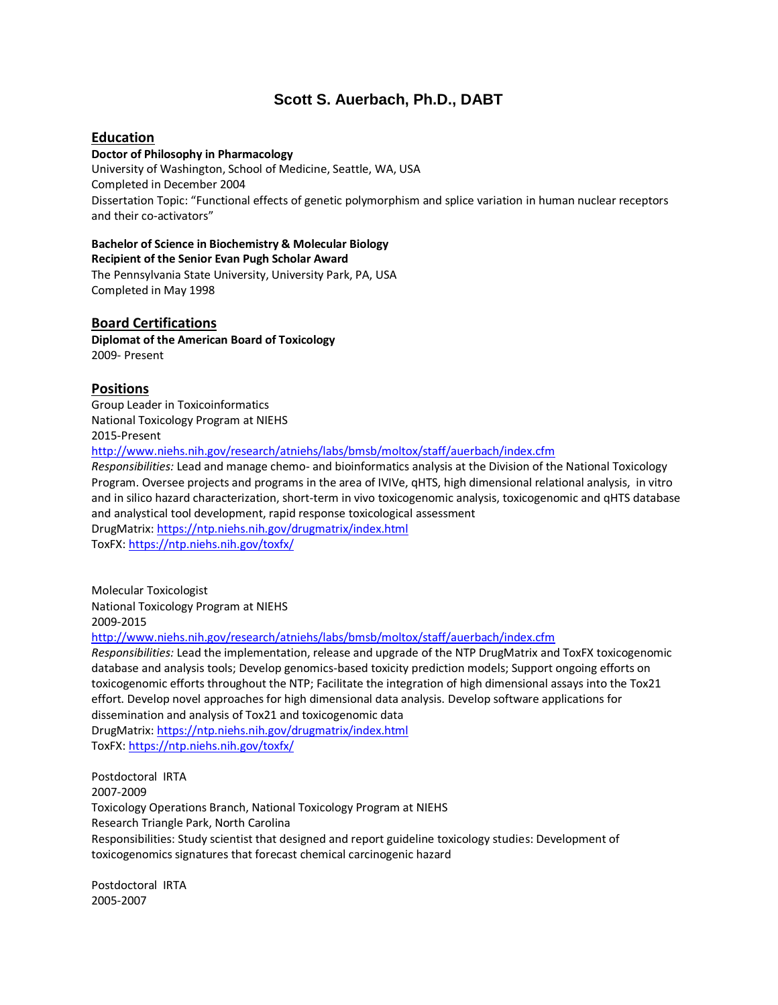# **Scott S. Auerbach, Ph.D., DABT**

# **Education**

## **Doctor of Philosophy in Pharmacology**

University of Washington, School of Medicine, Seattle, WA, USA Completed in December 2004 Dissertation Topic: "Functional effects of genetic polymorphism and splice variation in human nuclear receptors and their co-activators"

#### **Bachelor of Science in Biochemistry & Molecular Biology**

**Recipient of the Senior Evan Pugh Scholar Award**  The Pennsylvania State University, University Park, PA, USA

Completed in May 1998

# **Board Certifications**

**Diplomat of the American Board of Toxicology** 2009- Present

## **Positions**

Group Leader in Toxicoinformatics National Toxicology Program at NIEHS 2015-Present

<http://www.niehs.nih.gov/research/atniehs/labs/bmsb/moltox/staff/auerbach/index.cfm>

*Responsibilities:* Lead and manage chemo- and bioinformatics analysis at the Division of the National Toxicology Program. Oversee projects and programs in the area of IVIVe, qHTS, high dimensional relational analysis, in vitro and in silico hazard characterization, short-term in vivo toxicogenomic analysis, toxicogenomic and qHTS database and analystical tool development, rapid response toxicological assessment DrugMatrix[: https://ntp.niehs.nih.gov/drugmatrix/index.html](https://ntp.niehs.nih.gov/drugmatrix/index.html)

ToxFX:<https://ntp.niehs.nih.gov/toxfx/>

Molecular Toxicologist National Toxicology Program at NIEHS 2009-2015

<http://www.niehs.nih.gov/research/atniehs/labs/bmsb/moltox/staff/auerbach/index.cfm>

*Responsibilities:* Lead the implementation, release and upgrade of the NTP DrugMatrix and ToxFX toxicogenomic database and analysis tools; Develop genomics-based toxicity prediction models; Support ongoing efforts on toxicogenomic efforts throughout the NTP; Facilitate the integration of high dimensional assays into the Tox21 effort. Develop novel approaches for high dimensional data analysis. Develop software applications for dissemination and analysis of Tox21 and toxicogenomic data

DrugMatrix[: https://ntp.niehs.nih.gov/drugmatrix/index.html](https://ntp.niehs.nih.gov/drugmatrix/index.html) ToxFX:<https://ntp.niehs.nih.gov/toxfx/>

Postdoctoral IRTA 2007-2009 Toxicology Operations Branch, National Toxicology Program at NIEHS Research Triangle Park, North Carolina Responsibilities: Study scientist that designed and report guideline toxicology studies: Development of toxicogenomics signatures that forecast chemical carcinogenic hazard

Postdoctoral IRTA 2005-2007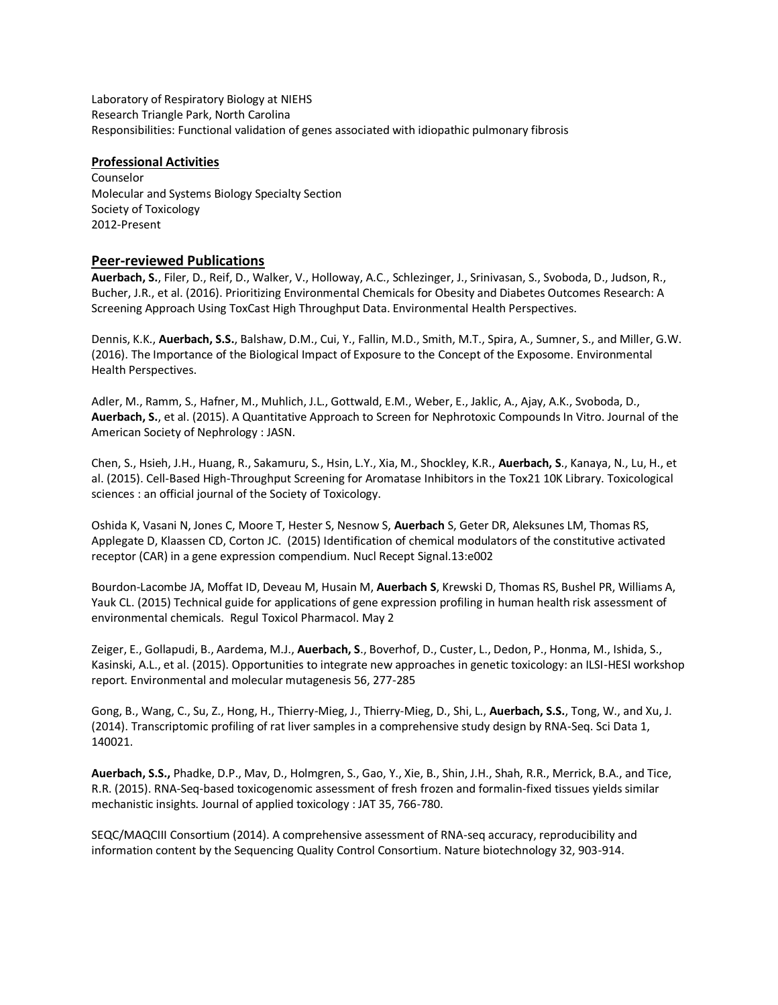Laboratory of Respiratory Biology at NIEHS Research Triangle Park, North Carolina Responsibilities: Functional validation of genes associated with idiopathic pulmonary fibrosis

#### **Professional Activities**

Counselor Molecular and Systems Biology Specialty Section Society of Toxicology 2012-Present

## **Peer-reviewed Publications**

**Auerbach, S.**, Filer, D., Reif, D., Walker, V., Holloway, A.C., Schlezinger, J., Srinivasan, S., Svoboda, D., Judson, R., Bucher, J.R., et al. (2016). Prioritizing Environmental Chemicals for Obesity and Diabetes Outcomes Research: A Screening Approach Using ToxCast High Throughput Data. Environmental Health Perspectives.

Dennis, K.K., **Auerbach, S.S.**, Balshaw, D.M., Cui, Y., Fallin, M.D., Smith, M.T., Spira, A., Sumner, S., and Miller, G.W. (2016). The Importance of the Biological Impact of Exposure to the Concept of the Exposome. Environmental Health Perspectives.

Adler, M., Ramm, S., Hafner, M., Muhlich, J.L., Gottwald, E.M., Weber, E., Jaklic, A., Ajay, A.K., Svoboda, D., **Auerbach, S.**, et al. (2015). A Quantitative Approach to Screen for Nephrotoxic Compounds In Vitro. Journal of the American Society of Nephrology : JASN.

Chen, S., Hsieh, J.H., Huang, R., Sakamuru, S., Hsin, L.Y., Xia, M., Shockley, K.R., **Auerbach, S**., Kanaya, N., Lu, H., et al. (2015). Cell-Based High-Throughput Screening for Aromatase Inhibitors in the Tox21 10K Library. Toxicological sciences : an official journal of the Society of Toxicology.

Oshida K, Vasani N, Jones C, Moore T, Hester S, Nesnow S, **Auerbach** S, Geter DR, Aleksunes LM, Thomas RS, Applegate D, Klaassen CD, Corton JC. (2015) Identification of chemical modulators of the constitutive activated receptor (CAR) in a gene expression compendium. Nucl Recept Signal.13:e002

Bourdon-Lacombe JA, Moffat ID, Deveau M, Husain M, **Auerbach S**, Krewski D, Thomas RS, Bushel PR, Williams A, Yauk CL. (2015) Technical guide for applications of gene expression profiling in human health risk assessment of environmental chemicals. Regul Toxicol Pharmacol. May 2

Zeiger, E., Gollapudi, B., Aardema, M.J., **Auerbach, S**., Boverhof, D., Custer, L., Dedon, P., Honma, M., Ishida, S., Kasinski, A.L., et al. (2015). Opportunities to integrate new approaches in genetic toxicology: an ILSI-HESI workshop report. Environmental and molecular mutagenesis 56, 277-285

Gong, B., Wang, C., Su, Z., Hong, H., Thierry-Mieg, J., Thierry-Mieg, D., Shi, L., **Auerbach, S.S.**, Tong, W., and Xu, J. (2014). Transcriptomic profiling of rat liver samples in a comprehensive study design by RNA-Seq. Sci Data 1, 140021.

**Auerbach, S.S.,** Phadke, D.P., Mav, D., Holmgren, S., Gao, Y., Xie, B., Shin, J.H., Shah, R.R., Merrick, B.A., and Tice, R.R. (2015). RNA-Seq-based toxicogenomic assessment of fresh frozen and formalin-fixed tissues yields similar mechanistic insights. Journal of applied toxicology : JAT 35, 766-780.

SEQC/MAQCIII Consortium (2014). A comprehensive assessment of RNA-seq accuracy, reproducibility and information content by the Sequencing Quality Control Consortium. Nature biotechnology 32, 903-914.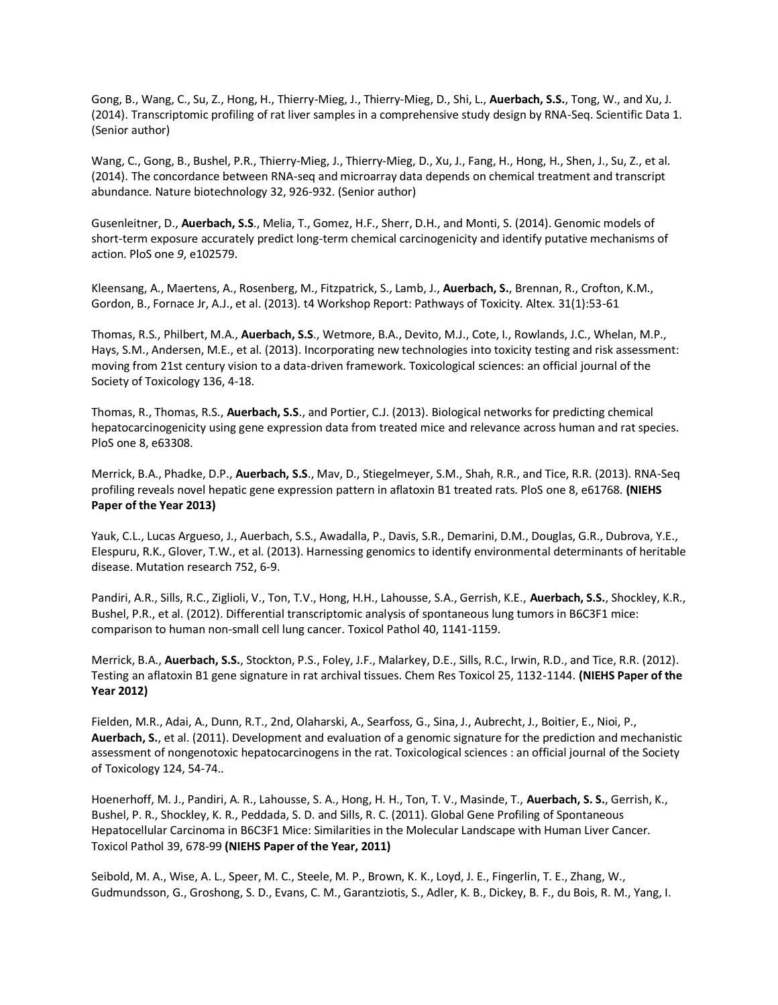Gong, B., Wang, C., Su, Z., Hong, H., Thierry-Mieg, J., Thierry-Mieg, D., Shi, L., **Auerbach, S.S.**, Tong, W., and Xu, J. (2014). Transcriptomic profiling of rat liver samples in a comprehensive study design by RNA-Seq. Scientific Data 1. (Senior author)

Wang, C., Gong, B., Bushel, P.R., Thierry-Mieg, J., Thierry-Mieg, D., Xu, J., Fang, H., Hong, H., Shen, J., Su, Z., et al. (2014). The concordance between RNA-seq and microarray data depends on chemical treatment and transcript abundance. Nature biotechnology 32, 926-932. (Senior author)

Gusenleitner, D., **Auerbach, S.S**., Melia, T., Gomez, H.F., Sherr, D.H., and Monti, S. (2014). Genomic models of short-term exposure accurately predict long-term chemical carcinogenicity and identify putative mechanisms of action. PloS one *9*, e102579.

Kleensang, A., Maertens, A., Rosenberg, M., Fitzpatrick, S., Lamb, J., **Auerbach, S.**, Brennan, R., Crofton, K.M., Gordon, B., Fornace Jr, A.J., et al. (2013). t4 Workshop Report: Pathways of Toxicity. Altex. 31(1):53-61

Thomas, R.S., Philbert, M.A., **Auerbach, S.S**., Wetmore, B.A., Devito, M.J., Cote, I., Rowlands, J.C., Whelan, M.P., Hays, S.M., Andersen, M.E., et al. (2013). Incorporating new technologies into toxicity testing and risk assessment: moving from 21st century vision to a data-driven framework. Toxicological sciences: an official journal of the Society of Toxicology 136, 4-18.

Thomas, R., Thomas, R.S., **Auerbach, S.S**., and Portier, C.J. (2013). Biological networks for predicting chemical hepatocarcinogenicity using gene expression data from treated mice and relevance across human and rat species. PloS one 8, e63308.

Merrick, B.A., Phadke, D.P., **Auerbach, S.S**., Mav, D., Stiegelmeyer, S.M., Shah, R.R., and Tice, R.R. (2013). RNA-Seq profiling reveals novel hepatic gene expression pattern in aflatoxin B1 treated rats. PloS one 8, e61768. **(NIEHS Paper of the Year 2013)**

Yauk, C.L., Lucas Argueso, J., Auerbach, S.S., Awadalla, P., Davis, S.R., Demarini, D.M., Douglas, G.R., Dubrova, Y.E., Elespuru, R.K., Glover, T.W., et al. (2013). Harnessing genomics to identify environmental determinants of heritable disease. Mutation research 752, 6-9.

Pandiri, A.R., Sills, R.C., Ziglioli, V., Ton, T.V., Hong, H.H., Lahousse, S.A., Gerrish, K.E., **Auerbach, S.S.**, Shockley, K.R., Bushel, P.R., et al. (2012). Differential transcriptomic analysis of spontaneous lung tumors in B6C3F1 mice: comparison to human non-small cell lung cancer. Toxicol Pathol 40, 1141-1159.

Merrick, B.A., **Auerbach, S.S.**, Stockton, P.S., Foley, J.F., Malarkey, D.E., Sills, R.C., Irwin, R.D., and Tice, R.R. (2012). Testing an aflatoxin B1 gene signature in rat archival tissues. Chem Res Toxicol 25, 1132-1144. **(NIEHS Paper of the Year 2012)**

Fielden, M.R., Adai, A., Dunn, R.T., 2nd, Olaharski, A., Searfoss, G., Sina, J., Aubrecht, J., Boitier, E., Nioi, P., **Auerbach, S.**, et al. (2011). Development and evaluation of a genomic signature for the prediction and mechanistic assessment of nongenotoxic hepatocarcinogens in the rat. Toxicological sciences : an official journal of the Society of Toxicology 124, 54-74..

Hoenerhoff, M. J., Pandiri, A. R., Lahousse, S. A., Hong, H. H., Ton, T. V., Masinde, T., **Auerbach, S. S.**, Gerrish, K., Bushel, P. R., Shockley, K. R., Peddada, S. D. and Sills, R. C. (2011). Global Gene Profiling of Spontaneous Hepatocellular Carcinoma in B6C3F1 Mice: Similarities in the Molecular Landscape with Human Liver Cancer. Toxicol Pathol 39, 678-99 **(NIEHS Paper of the Year, 2011)**

Seibold, M. A., Wise, A. L., Speer, M. C., Steele, M. P., Brown, K. K., Loyd, J. E., Fingerlin, T. E., Zhang, W., Gudmundsson, G., Groshong, S. D., Evans, C. M., Garantziotis, S., Adler, K. B., Dickey, B. F., du Bois, R. M., Yang, I.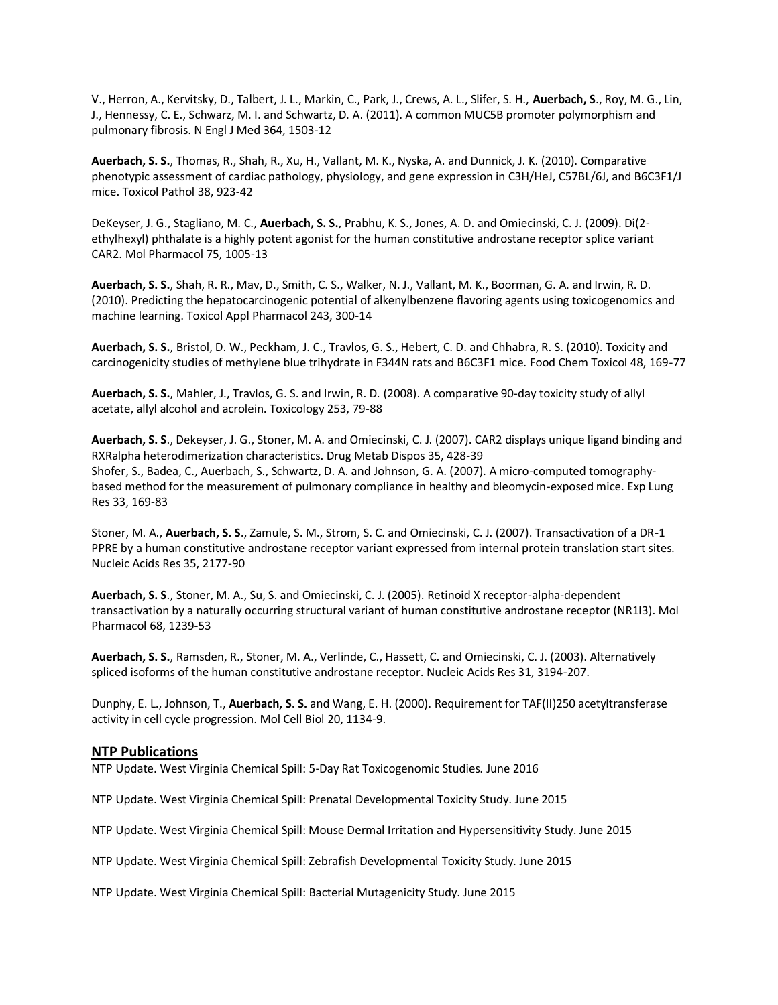V., Herron, A., Kervitsky, D., Talbert, J. L., Markin, C., Park, J., Crews, A. L., Slifer, S. H., **Auerbach, S**., Roy, M. G., Lin, J., Hennessy, C. E., Schwarz, M. I. and Schwartz, D. A. (2011). A common MUC5B promoter polymorphism and pulmonary fibrosis. N Engl J Med 364, 1503-12

**Auerbach, S. S.**, Thomas, R., Shah, R., Xu, H., Vallant, M. K., Nyska, A. and Dunnick, J. K. (2010). Comparative phenotypic assessment of cardiac pathology, physiology, and gene expression in C3H/HeJ, C57BL/6J, and B6C3F1/J mice. Toxicol Pathol 38, 923-42

DeKeyser, J. G., Stagliano, M. C., **Auerbach, S. S.**, Prabhu, K. S., Jones, A. D. and Omiecinski, C. J. (2009). Di(2 ethylhexyl) phthalate is a highly potent agonist for the human constitutive androstane receptor splice variant CAR2. Mol Pharmacol 75, 1005-13

**Auerbach, S. S.**, Shah, R. R., Mav, D., Smith, C. S., Walker, N. J., Vallant, M. K., Boorman, G. A. and Irwin, R. D. (2010). Predicting the hepatocarcinogenic potential of alkenylbenzene flavoring agents using toxicogenomics and machine learning. Toxicol Appl Pharmacol 243, 300-14

**Auerbach, S. S.**, Bristol, D. W., Peckham, J. C., Travlos, G. S., Hebert, C. D. and Chhabra, R. S. (2010). Toxicity and carcinogenicity studies of methylene blue trihydrate in F344N rats and B6C3F1 mice. Food Chem Toxicol 48, 169-77

**Auerbach, S. S.**, Mahler, J., Travlos, G. S. and Irwin, R. D. (2008). A comparative 90-day toxicity study of allyl acetate, allyl alcohol and acrolein. Toxicology 253, 79-88

**Auerbach, S. S**., Dekeyser, J. G., Stoner, M. A. and Omiecinski, C. J. (2007). CAR2 displays unique ligand binding and RXRalpha heterodimerization characteristics. Drug Metab Dispos 35, 428-39 Shofer, S., Badea, C., Auerbach, S., Schwartz, D. A. and Johnson, G. A. (2007). A micro-computed tomographybased method for the measurement of pulmonary compliance in healthy and bleomycin-exposed mice. Exp Lung Res 33, 169-83

Stoner, M. A., **Auerbach, S. S**., Zamule, S. M., Strom, S. C. and Omiecinski, C. J. (2007). Transactivation of a DR-1 PPRE by a human constitutive androstane receptor variant expressed from internal protein translation start sites. Nucleic Acids Res 35, 2177-90

**Auerbach, S. S**., Stoner, M. A., Su, S. and Omiecinski, C. J. (2005). Retinoid X receptor-alpha-dependent transactivation by a naturally occurring structural variant of human constitutive androstane receptor (NR1I3). Mol Pharmacol 68, 1239-53

**Auerbach, S. S.**, Ramsden, R., Stoner, M. A., Verlinde, C., Hassett, C. and Omiecinski, C. J. (2003). Alternatively spliced isoforms of the human constitutive androstane receptor. Nucleic Acids Res 31, 3194-207.

Dunphy, E. L., Johnson, T., **Auerbach, S. S.** and Wang, E. H. (2000). Requirement for TAF(II)250 acetyltransferase activity in cell cycle progression. Mol Cell Biol 20, 1134-9.

#### **NTP Publications**

NTP Update. West Virginia Chemical Spill: 5‐Day Rat Toxicogenomic Studies. June 2016

NTP Update. West Virginia Chemical Spill: Prenatal Developmental Toxicity Study. June 2015

NTP Update. West Virginia Chemical Spill: Mouse Dermal Irritation and Hypersensitivity Study. June 2015

NTP Update. West Virginia Chemical Spill: Zebrafish Developmental Toxicity Study. June 2015

NTP Update. West Virginia Chemical Spill: Bacterial Mutagenicity Study. June 2015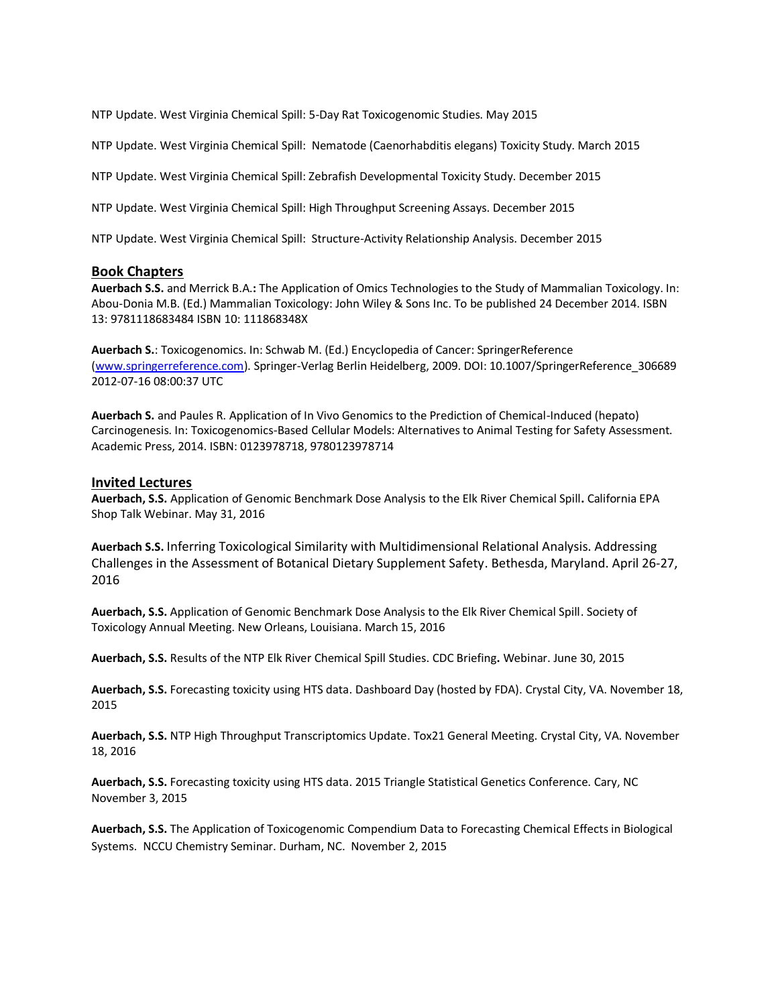NTP Update. West Virginia Chemical Spill: 5‐Day Rat Toxicogenomic Studies. May 2015

NTP Update. West Virginia Chemical Spill: Nematode (Caenorhabditis elegans) Toxicity Study. March 2015

NTP Update. West Virginia Chemical Spill: Zebrafish Developmental Toxicity Study. December 2015

NTP Update. West Virginia Chemical Spill: High Throughput Screening Assays. December 2015

NTP Update. West Virginia Chemical Spill: Structure‐Activity Relationship Analysis. December 2015

#### **Book Chapters**

**Auerbach S.S.** and Merrick B.A.**:** The Application of Omics Technologies to the Study of Mammalian Toxicology. In: Abou-Donia M.B. (Ed.) Mammalian Toxicology: John Wiley & Sons Inc. To be published 24 December 2014. ISBN 13: 9781118683484 ISBN 10: 111868348X

**Auerbach S.**: Toxicogenomics. In: Schwab M. (Ed.) Encyclopedia of Cancer: SpringerReference [\(www.springerreference.com\)](http://www.springerreference.com/). Springer-Verlag Berlin Heidelberg, 2009. DOI: 10.1007/SpringerReference\_306689 2012-07-16 08:00:37 UTC

**Auerbach S.** and Paules R. Application of In Vivo Genomics to the Prediction of Chemical-Induced (hepato) Carcinogenesis. In: Toxicogenomics-Based Cellular Models: Alternatives to Animal Testing for Safety Assessment. Academic Press, 2014. ISBN: 0123978718, 9780123978714

#### **Invited Lectures**

**Auerbach, S.S.** Application of Genomic Benchmark Dose Analysis to the Elk River Chemical Spill**.** California EPA Shop Talk Webinar. May 31, 2016

**Auerbach S.S.** Inferring Toxicological Similarity with Multidimensional Relational Analysis. Addressing Challenges in the Assessment of Botanical Dietary Supplement Safety. Bethesda, Maryland. April 26-27, 2016

**Auerbach, S.S.** Application of Genomic Benchmark Dose Analysis to the Elk River Chemical Spill. Society of Toxicology Annual Meeting. New Orleans, Louisiana. March 15, 2016

**Auerbach, S.S.** Results of the NTP Elk River Chemical Spill Studies. CDC Briefing**.** Webinar. June 30, 2015

**Auerbach, S.S.** Forecasting toxicity using HTS data. Dashboard Day (hosted by FDA). Crystal City, VA. November 18, 2015

**Auerbach, S.S.** NTP High Throughput Transcriptomics Update. Tox21 General Meeting. Crystal City, VA. November 18, 2016

**Auerbach, S.S.** Forecasting toxicity using HTS data. 2015 Triangle Statistical Genetics Conference. Cary, NC November 3, 2015

**Auerbach, S.S.** The Application of Toxicogenomic Compendium Data to Forecasting Chemical Effects in Biological Systems. NCCU Chemistry Seminar. Durham, NC. November 2, 2015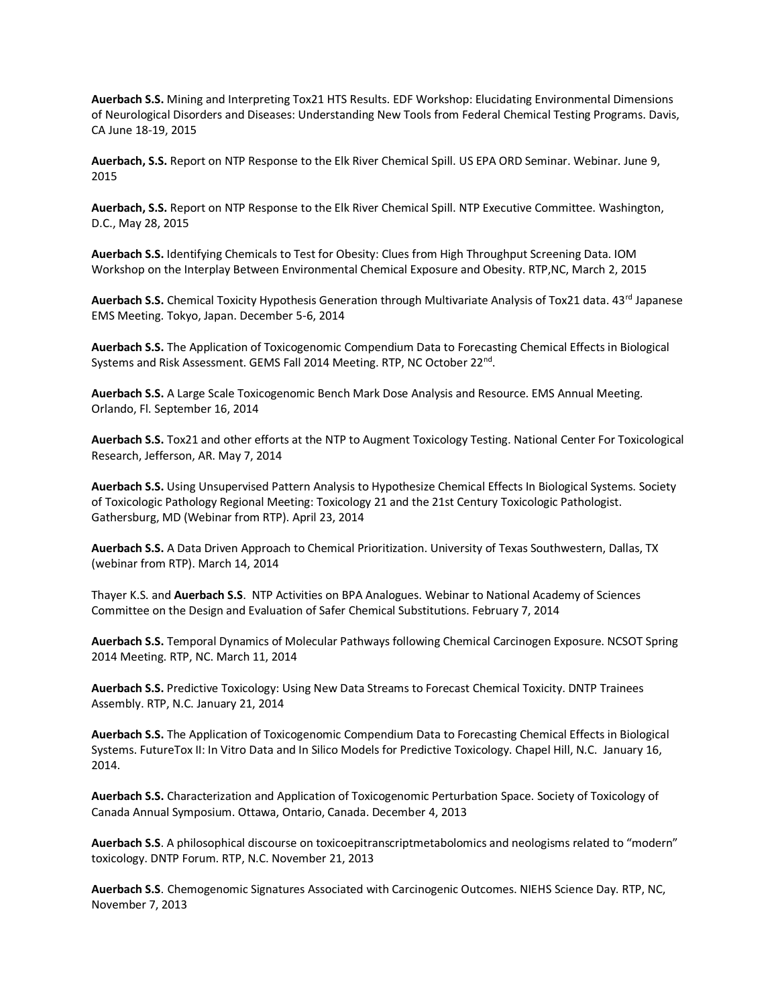**Auerbach S.S.** Mining and Interpreting Tox21 HTS Results. EDF Workshop: Elucidating Environmental Dimensions of Neurological Disorders and Diseases: Understanding New Tools from Federal Chemical Testing Programs. Davis, CA June 18-19, 2015

**Auerbach, S.S.** Report on NTP Response to the Elk River Chemical Spill. US EPA ORD Seminar. Webinar. June 9, 2015

**Auerbach, S.S.** Report on NTP Response to the Elk River Chemical Spill. NTP Executive Committee. Washington, D.C., May 28, 2015

**Auerbach S.S.** Identifying Chemicals to Test for Obesity: Clues from High Throughput Screening Data. IOM Workshop on the Interplay Between Environmental Chemical Exposure and Obesity. RTP,NC, March 2, 2015

Auerbach S.S. Chemical Toxicity Hypothesis Generation through Multivariate Analysis of Tox21 data. 43<sup>rd</sup> Japanese EMS Meeting. Tokyo, Japan. December 5-6, 2014

**Auerbach S.S.** The Application of Toxicogenomic Compendium Data to Forecasting Chemical Effects in Biological Systems and Risk Assessment. GEMS Fall 2014 Meeting. RTP, NC October 22<sup>nd</sup>.

**Auerbach S.S.** A Large Scale Toxicogenomic Bench Mark Dose Analysis and Resource. EMS Annual Meeting. Orlando, Fl. September 16, 2014

**Auerbach S.S.** Tox21 and other efforts at the NTP to Augment Toxicology Testing. National Center For Toxicological Research, Jefferson, AR. May 7, 2014

**Auerbach S.S.** Using Unsupervised Pattern Analysis to Hypothesize Chemical Effects In Biological Systems. Society of Toxicologic Pathology Regional Meeting: Toxicology 21 and the 21st Century Toxicologic Pathologist. Gathersburg, MD (Webinar from RTP). April 23, 2014

**Auerbach S.S.** A Data Driven Approach to Chemical Prioritization. University of Texas Southwestern, Dallas, TX (webinar from RTP). March 14, 2014

Thayer K.S. and **Auerbach S.S**. NTP Activities on BPA Analogues. Webinar to National Academy of Sciences Committee on the Design and Evaluation of Safer Chemical Substitutions. February 7, 2014

**Auerbach S.S.** Temporal Dynamics of Molecular Pathways following Chemical Carcinogen Exposure. NCSOT Spring 2014 Meeting. RTP, NC. March 11, 2014

**Auerbach S.S.** Predictive Toxicology: Using New Data Streams to Forecast Chemical Toxicity. DNTP Trainees Assembly. RTP, N.C. January 21, 2014

**Auerbach S.S.** The Application of Toxicogenomic Compendium Data to Forecasting Chemical Effects in Biological Systems. FutureTox II: In Vitro Data and In Silico Models for Predictive Toxicology. Chapel Hill, N.C. January 16, 2014.

**Auerbach S.S.** Characterization and Application of Toxicogenomic Perturbation Space. Society of Toxicology of Canada Annual Symposium. Ottawa, Ontario, Canada. December 4, 2013

**Auerbach S.S**. A philosophical discourse on toxicoepitranscriptmetabolomics and neologisms related to "modern" toxicology. DNTP Forum. RTP, N.C. November 21, 2013

**Auerbach S.S**. Chemogenomic Signatures Associated with Carcinogenic Outcomes. NIEHS Science Day. RTP, NC, November 7, 2013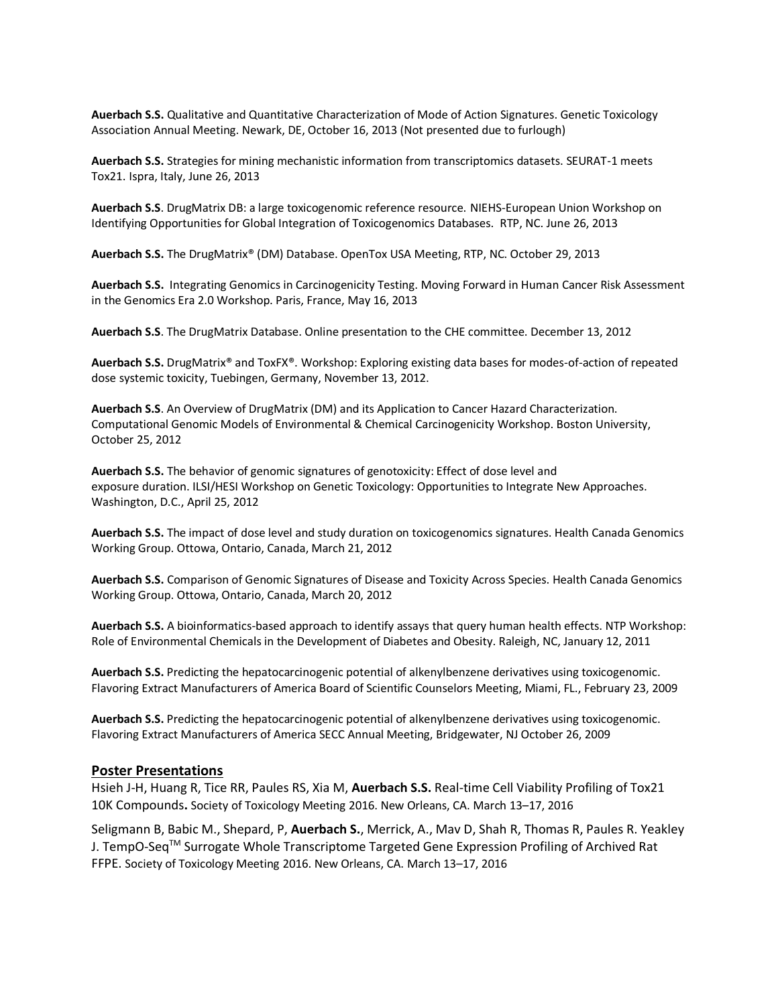**Auerbach S.S.** Qualitative and Quantitative Characterization of Mode of Action Signatures. Genetic Toxicology Association Annual Meeting. Newark, DE, October 16, 2013 (Not presented due to furlough)

**Auerbach S.S.** Strategies for mining mechanistic information from transcriptomics datasets. SEURAT-1 meets Tox21. Ispra, Italy, June 26, 2013

**Auerbach S.S**. DrugMatrix DB: a large toxicogenomic reference resource. NIEHS-European Union Workshop on Identifying Opportunities for Global Integration of Toxicogenomics Databases. RTP, NC. June 26, 2013

**Auerbach S.S.** The DrugMatrix® (DM) Database. OpenTox USA Meeting, RTP, NC. October 29, 2013

**Auerbach S.S.** Integrating Genomics in Carcinogenicity Testing. Moving Forward in Human Cancer Risk Assessment in the Genomics Era 2.0 Workshop. Paris, France, May 16, 2013

**Auerbach S.S**. The DrugMatrix Database. Online presentation to the CHE committee. December 13, 2012

**Auerbach S.S.** DrugMatrix® and ToxFX®. Workshop: Exploring existing data bases for modes-of-action of repeated dose systemic toxicity, Tuebingen, Germany, November 13, 2012.

**Auerbach S.S**. An Overview of DrugMatrix (DM) and its Application to Cancer Hazard Characterization. Computational Genomic Models of Environmental & Chemical Carcinogenicity Workshop. Boston University, October 25, 2012

**Auerbach S.S.** The behavior of genomic signatures of genotoxicity: Effect of dose level and exposure duration. ILSI/HESI Workshop on Genetic Toxicology: Opportunities to Integrate New Approaches. Washington, D.C., April 25, 2012

**Auerbach S.S.** The impact of dose level and study duration on toxicogenomics signatures. Health Canada Genomics Working Group. Ottowa, Ontario, Canada, March 21, 2012

**Auerbach S.S.** Comparison of Genomic Signatures of Disease and Toxicity Across Species. Health Canada Genomics Working Group. Ottowa, Ontario, Canada, March 20, 2012

**Auerbach S.S.** A bioinformatics‐based approach to identify assays that query human health effects. NTP Workshop: Role of Environmental Chemicals in the Development of Diabetes and Obesity. Raleigh, NC, January 12, 2011

**Auerbach S.S.** Predicting the hepatocarcinogenic potential of alkenylbenzene derivatives using toxicogenomic. Flavoring Extract Manufacturers of America Board of Scientific Counselors Meeting, Miami, FL., February 23, 2009

**Auerbach S.S.** Predicting the hepatocarcinogenic potential of alkenylbenzene derivatives using toxicogenomic. Flavoring Extract Manufacturers of America SECC Annual Meeting, Bridgewater, NJ October 26, 2009

#### **Poster Presentations**

Hsieh J-H, Huang R, Tice RR, Paules RS, Xia M, **Auerbach S.S.** Real-time Cell Viability Profiling of Tox21 10K Compounds**.** Society of Toxicology Meeting 2016. New Orleans, CA. March 13–17, 2016

Seligmann B, Babic M., Shepard, P, **Auerbach S.**, Merrick, A., Mav D, Shah R, Thomas R, Paules R. Yeakley J. TempO-SeqTM Surrogate Whole Transcriptome Targeted Gene Expression Profiling of Archived Rat FFPE. Society of Toxicology Meeting 2016. New Orleans, CA. March 13–17, 2016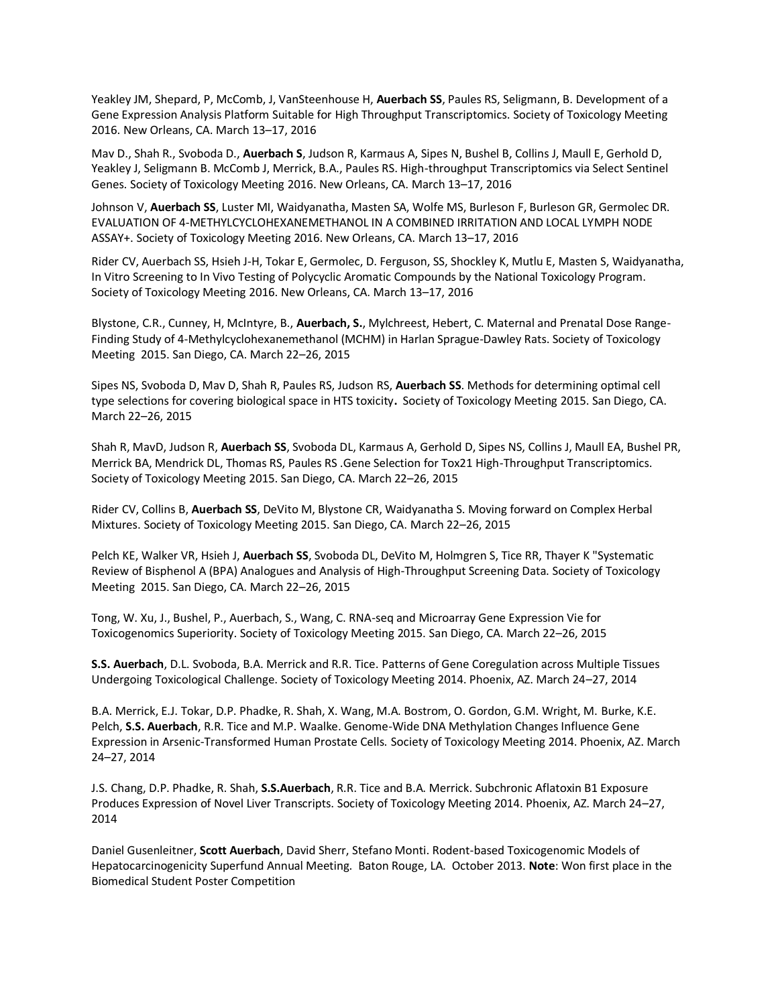Yeakley JM, Shepard, P, McComb, J, VanSteenhouse H, **Auerbach SS**, Paules RS, Seligmann, B. Development of a Gene Expression Analysis Platform Suitable for High Throughput Transcriptomics. Society of Toxicology Meeting 2016. New Orleans, CA. March 13–17, 2016

Mav D., Shah R., Svoboda D., **Auerbach S**, Judson R, Karmaus A, Sipes N, Bushel B, Collins J, Maull E, Gerhold D, Yeakley J, Seligmann B. McComb J, Merrick, B.A., Paules RS. High-throughput Transcriptomics via Select Sentinel Genes. Society of Toxicology Meeting 2016. New Orleans, CA. March 13–17, 2016

Johnson V, **Auerbach SS**, Luster MI, Waidyanatha, Masten SA, Wolfe MS, Burleson F, Burleson GR, Germolec DR. EVALUATION OF 4-METHYLCYCLOHEXANEMETHANOL IN A COMBINED IRRITATION AND LOCAL LYMPH NODE ASSAY+. Society of Toxicology Meeting 2016. New Orleans, CA. March 13–17, 2016

Rider CV, Auerbach SS, Hsieh J-H, Tokar E, Germolec, D. Ferguson, SS, Shockley K, Mutlu E, Masten S, Waidyanatha, In Vitro Screening to In Vivo Testing of Polycyclic Aromatic Compounds by the National Toxicology Program. Society of Toxicology Meeting 2016. New Orleans, CA. March 13–17, 2016

Blystone, C.R., Cunney, H, McIntyre, B., **Auerbach, S.**, Mylchreest, Hebert, C. Maternal and Prenatal Dose Range-Finding Study of 4-Methylcyclohexanemethanol (MCHM) in Harlan Sprague-Dawley Rats. Society of Toxicology Meeting 2015. San Diego, CA. March 22–26, 2015

Sipes NS, Svoboda D, Mav D, Shah R, Paules RS, Judson RS, **Auerbach SS**. Methods for determining optimal cell type selections for covering biological space in HTS toxicity**.** Society of Toxicology Meeting 2015. San Diego, CA. March 22–26, 2015

Shah R, MavD, Judson R, **Auerbach SS**, Svoboda DL, Karmaus A, Gerhold D, Sipes NS, Collins J, Maull EA, Bushel PR, Merrick BA, Mendrick DL, Thomas RS, Paules RS .Gene Selection for Tox21 High-Throughput Transcriptomics. Society of Toxicology Meeting 2015. San Diego, CA. March 22–26, 2015

Rider CV, Collins B, **Auerbach SS**, DeVito M, Blystone CR, Waidyanatha S. Moving forward on Complex Herbal Mixtures. Society of Toxicology Meeting 2015. San Diego, CA. March 22–26, 2015

Pelch KE, Walker VR, Hsieh J, **Auerbach SS**, Svoboda DL, DeVito M, Holmgren S, Tice RR, Thayer K "Systematic Review of Bisphenol A (BPA) Analogues and Analysis of High-Throughput Screening Data. Society of Toxicology Meeting 2015. San Diego, CA. March 22–26, 2015

Tong, W. Xu, J., Bushel, P., Auerbach, S., Wang, C. RNA-seq and Microarray Gene Expression Vie for Toxicogenomics Superiority. Society of Toxicology Meeting 2015. San Diego, CA. March 22–26, 2015

**S.S. Auerbach**, D.L. Svoboda, B.A. Merrick and R.R. Tice. Patterns of Gene Coregulation across Multiple Tissues Undergoing Toxicological Challenge. Society of Toxicology Meeting 2014. Phoenix, AZ. March 24–27, 2014

B.A. Merrick, E.J. Tokar, D.P. Phadke, R. Shah, X. Wang, M.A. Bostrom, O. Gordon, G.M. Wright, M. Burke, K.E. Pelch, **S.S. Auerbach**, R.R. Tice and M.P. Waalke. Genome-Wide DNA Methylation Changes Influence Gene Expression in Arsenic-Transformed Human Prostate Cells. Society of Toxicology Meeting 2014. Phoenix, AZ. March 24–27, 2014

J.S. Chang, D.P. Phadke, R. Shah, **S.S.Auerbach**, R.R. Tice and B.A. Merrick. Subchronic Aflatoxin B1 Exposure Produces Expression of Novel Liver Transcripts. Society of Toxicology Meeting 2014. Phoenix, AZ. March 24–27, 2014

Daniel Gusenleitner, **Scott Auerbach**, David Sherr, Stefano Monti. Rodent-based Toxicogenomic Models of Hepatocarcinogenicity Superfund Annual Meeting. Baton Rouge, LA. October 2013. **Note**: Won first place in the Biomedical Student Poster Competition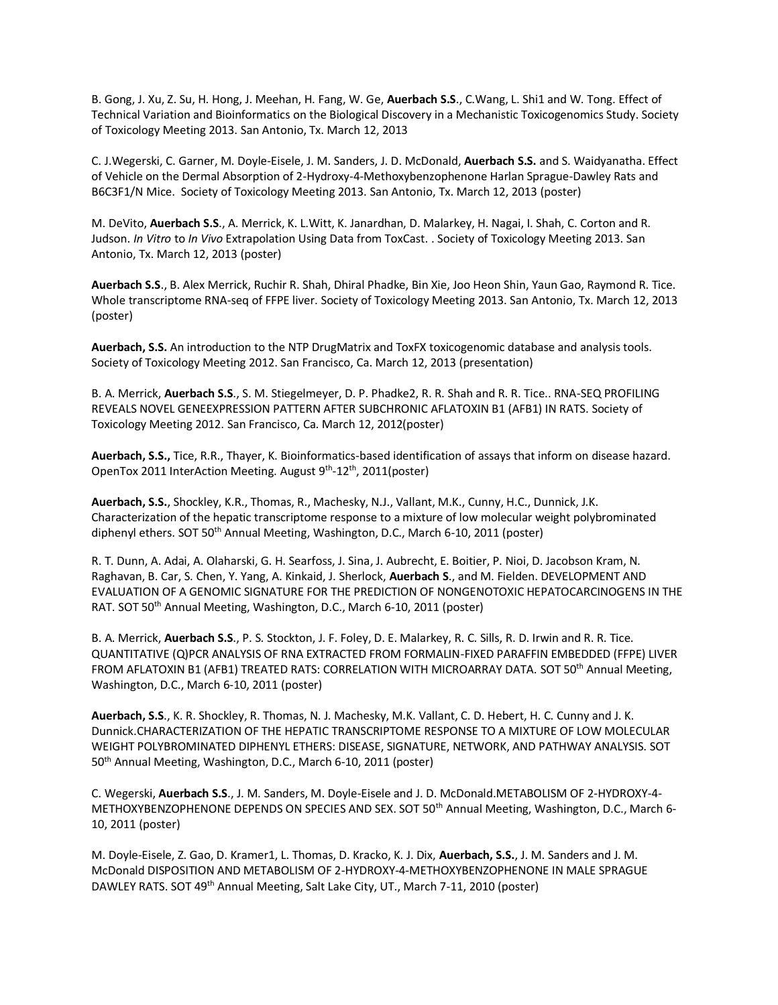B. Gong, J. Xu, Z. Su, H. Hong, J. Meehan, H. Fang, W. Ge, **Auerbach S.S**., C.Wang, L. Shi1 and W. Tong. Effect of Technical Variation and Bioinformatics on the Biological Discovery in a Mechanistic Toxicogenomics Study. Society of Toxicology Meeting 2013. San Antonio, Tx. March 12, 2013

C. J.Wegerski, C. Garner, M. Doyle-Eisele, J. M. Sanders, J. D. McDonald, **Auerbach S.S.** and S. Waidyanatha. Effect of Vehicle on the Dermal Absorption of 2-Hydroxy-4-Methoxybenzophenone Harlan Sprague-Dawley Rats and B6C3F1/N Mice. Society of Toxicology Meeting 2013. San Antonio, Tx. March 12, 2013 (poster)

M. DeVito, **Auerbach S.S**., A. Merrick, K. L.Witt, K. Janardhan, D. Malarkey, H. Nagai, I. Shah, C. Corton and R. Judson. *In Vitro* to *In Vivo* Extrapolation Using Data from ToxCast. . Society of Toxicology Meeting 2013. San Antonio, Tx. March 12, 2013 (poster)

**Auerbach S.S**., B. Alex Merrick, Ruchir R. Shah, Dhiral Phadke, Bin Xie, Joo Heon Shin, Yaun Gao, Raymond R. Tice. Whole transcriptome RNA-seq of FFPE liver. Society of Toxicology Meeting 2013. San Antonio, Tx. March 12, 2013 (poster)

**Auerbach, S.S.** An introduction to the NTP DrugMatrix and ToxFX toxicogenomic database and analysis tools. Society of Toxicology Meeting 2012. San Francisco, Ca. March 12, 2013 (presentation)

B. A. Merrick, **Auerbach S.S**., S. M. Stiegelmeyer, D. P. Phadke2, R. R. Shah and R. R. Tice.. RNA-SEQ PROFILING REVEALS NOVEL GENEEXPRESSION PATTERN AFTER SUBCHRONIC AFLATOXIN B1 (AFB1) IN RATS. Society of Toxicology Meeting 2012. San Francisco, Ca. March 12, 2012(poster)

**Auerbach, S.S.,** Tice, R.R., Thayer, K. Bioinformatics-based identification of assays that inform on disease hazard. OpenTox 2011 InterAction Meeting. August 9<sup>th</sup>-12<sup>th</sup>, 2011(poster)

**Auerbach, S.S.**, Shockley, K.R., Thomas, R., Machesky, N.J., Vallant, M.K., Cunny, H.C., Dunnick, J.K. Characterization of the hepatic transcriptome response to a mixture of low molecular weight polybrominated diphenyl ethers. SOT 50<sup>th</sup> Annual Meeting, Washington, D.C., March 6-10, 2011 (poster)

R. T. Dunn, A. Adai, A. Olaharski, G. H. Searfoss, J. Sina, J. Aubrecht, E. Boitier, P. Nioi, D. Jacobson Kram, N. Raghavan, B. Car, S. Chen, Y. Yang, A. Kinkaid, J. Sherlock, **Auerbach S**., and M. Fielden. DEVELOPMENT AND EVALUATION OF A GENOMIC SIGNATURE FOR THE PREDICTION OF NONGENOTOXIC HEPATOCARCINOGENS IN THE RAT. SOT 50<sup>th</sup> Annual Meeting, Washington, D.C., March 6-10, 2011 (poster)

B. A. Merrick, **Auerbach S.S**., P. S. Stockton, J. F. Foley, D. E. Malarkey, R. C. Sills, R. D. Irwin and R. R. Tice. QUANTITATIVE (Q)PCR ANALYSIS OF RNA EXTRACTED FROM FORMALIN-FIXED PARAFFIN EMBEDDED (FFPE) LIVER FROM AFLATOXIN B1 (AFB1) TREATED RATS: CORRELATION WITH MICROARRAY DATA. SOT 50<sup>th</sup> Annual Meeting, Washington, D.C., March 6-10, 2011 (poster)

**Auerbach, S.S**., K. R. Shockley, R. Thomas, N. J. Machesky, M.K. Vallant, C. D. Hebert, H. C. Cunny and J. K. Dunnick.CHARACTERIZATION OF THE HEPATIC TRANSCRIPTOME RESPONSE TO A MIXTURE OF LOW MOLECULAR WEIGHT POLYBROMINATED DIPHENYL ETHERS: DISEASE, SIGNATURE, NETWORK, AND PATHWAY ANALYSIS. SOT 50th Annual Meeting, Washington, D.C., March 6-10, 2011 (poster)

C. Wegerski, **Auerbach S.S**., J. M. Sanders, M. Doyle-Eisele and J. D. McDonald.METABOLISM OF 2-HYDROXY-4- METHOXYBENZOPHENONE DEPENDS ON SPECIES AND SEX. SOT 50<sup>th</sup> Annual Meeting, Washington, D.C., March 6-10, 2011 (poster)

M. Doyle-Eisele, Z. Gao, D. Kramer1, L. Thomas, D. Kracko, K. J. Dix, **Auerbach, S.S.**, J. M. Sanders and J. M. McDonald DISPOSITION AND METABOLISM OF 2-HYDROXY-4-METHOXYBENZOPHENONE IN MALE SPRAGUE DAWLEY RATS. SOT 49<sup>th</sup> Annual Meeting, Salt Lake City, UT., March 7-11, 2010 (poster)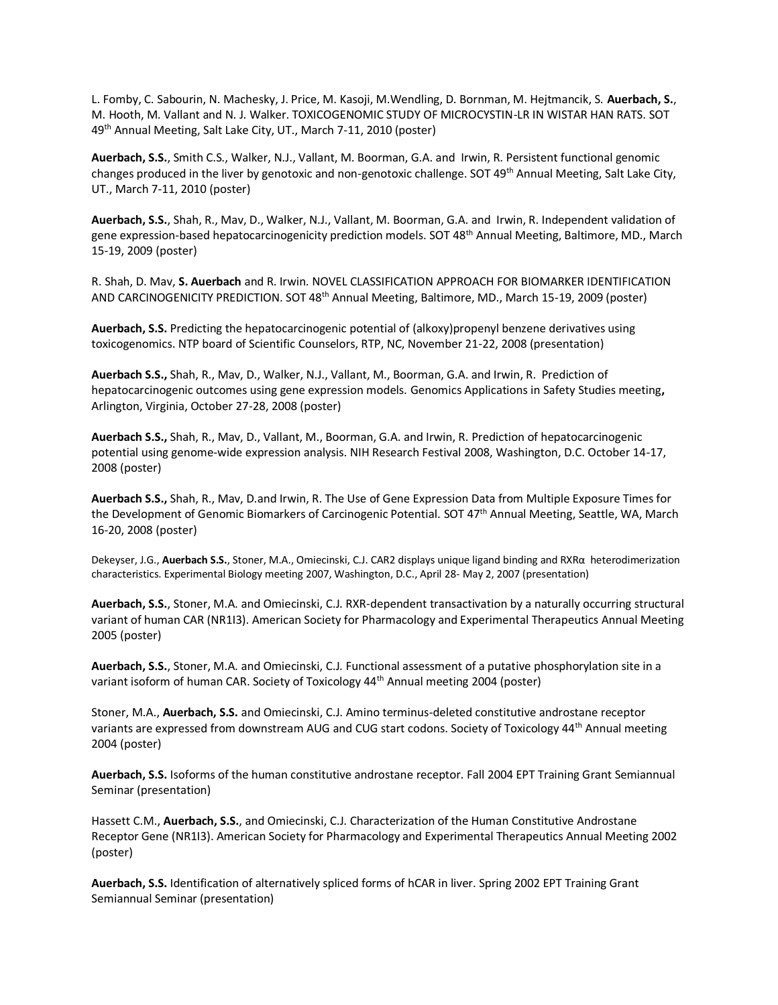L. Fomby, C. Sabourin, N. Machesky, J. Price, M. Kasoji, M.Wendling, D. Bornman, M. Hejtmancik, S. **Auerbach, S.**, M. Hooth, M. Vallant and N. J. Walker. TOXICOGENOMIC STUDY OF MICROCYSTIN-LR IN WISTAR HAN RATS. SOT 49th Annual Meeting, Salt Lake City, UT., March 7-11, 2010 (poster)

**Auerbach, S.S.**, Smith C.S., Walker, N.J., Vallant, M. Boorman, G.A. and Irwin, R. Persistent functional genomic changes produced in the liver by genotoxic and non-genotoxic challenge. SOT 49<sup>th</sup> Annual Meeting, Salt Lake City, UT., March 7-11, 2010 (poster)

**Auerbach, S.S.**, Shah, R., Mav, D., Walker, N.J., Vallant, M. Boorman, G.A. and Irwin, R. Independent validation of gene expression-based hepatocarcinogenicity prediction models. SOT 48<sup>th</sup> Annual Meeting, Baltimore, MD., March 15-19, 2009 (poster)

R. Shah, D. Mav, **S. Auerbach** and R. Irwin. NOVEL CLASSIFICATION APPROACH FOR BIOMARKER IDENTIFICATION AND CARCINOGENICITY PREDICTION. SOT 48<sup>th</sup> Annual Meeting, Baltimore, MD., March 15-19, 2009 (poster)

**Auerbach, S.S.** Predicting the hepatocarcinogenic potential of (alkoxy)propenyl benzene derivatives using toxicogenomics. NTP board of Scientific Counselors, RTP, NC, November 21-22, 2008 (presentation)

**Auerbach S.S.,** Shah, R., Mav, D., Walker, N.J., Vallant, M., Boorman, G.A. and Irwin, R. Prediction of hepatocarcinogenic outcomes using gene expression models. Genomics Applications in Safety Studies meeting**,**  Arlington, Virginia, October 27-28, 2008 (poster)

**Auerbach S.S.,** Shah, R., Mav, D., Vallant, M., Boorman, G.A. and Irwin, R. Prediction of hepatocarcinogenic potential using genome-wide expression analysis. NIH Research Festival 2008, Washington, D.C. October 14-17, 2008 (poster)

**Auerbach S.S.,** Shah, R., Mav, D.and Irwin, R. The Use of Gene Expression Data from Multiple Exposure Times for the Development of Genomic Biomarkers of Carcinogenic Potential. SOT 47th Annual Meeting, Seattle, WA, March 16-20, 2008 (poster)

Dekeyser, J.G., **Auerbach S.S.**, Stoner, M.A., Omiecinski, C.J. CAR2 displays unique ligand binding and RXRα heterodimerization characteristics. Experimental Biology meeting 2007, Washington, D.C., April 28- May 2, 2007 (presentation)

**Auerbach, S.S.**, Stoner, M.A. and Omiecinski, C.J. RXR-dependent transactivation by a naturally occurring structural variant of human CAR (NR1I3). American Society for Pharmacology and Experimental Therapeutics Annual Meeting 2005 (poster)

**Auerbach, S.S.**, Stoner, M.A. and Omiecinski, C.J. Functional assessment of a putative phosphorylation site in a variant isoform of human CAR. Society of Toxicology 44<sup>th</sup> Annual meeting 2004 (poster)

Stoner, M.A., **Auerbach, S.S.** and Omiecinski, C.J. Amino terminus-deleted constitutive androstane receptor variants are expressed from downstream AUG and CUG start codons. Society of Toxicology 44<sup>th</sup> Annual meeting 2004 (poster)

**Auerbach, S.S.** Isoforms of the human constitutive androstane receptor. Fall 2004 EPT Training Grant Semiannual Seminar (presentation)

Hassett C.M., **Auerbach, S.S.**, and Omiecinski, C.J. Characterization of the Human Constitutive Androstane Receptor Gene (NR1I3). American Society for Pharmacology and Experimental Therapeutics Annual Meeting 2002 (poster)

**Auerbach, S.S.** Identification of alternatively spliced forms of hCAR in liver. Spring 2002 EPT Training Grant Semiannual Seminar (presentation)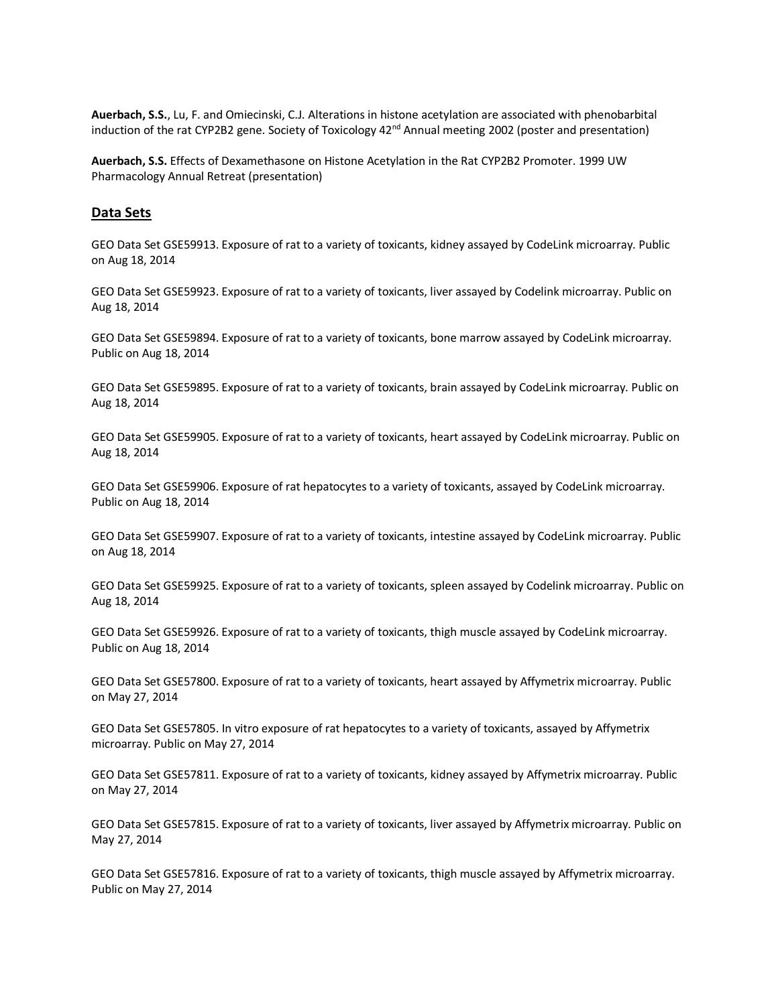**Auerbach, S.S.**, Lu, F. and Omiecinski, C.J. Alterations in histone acetylation are associated with phenobarbital induction of the rat CYP2B2 gene. Society of Toxicology 42<sup>nd</sup> Annual meeting 2002 (poster and presentation)

**Auerbach, S.S.** Effects of Dexamethasone on Histone Acetylation in the Rat CYP2B2 Promoter. 1999 UW Pharmacology Annual Retreat (presentation)

#### **Data Sets**

GEO Data Set GSE59913. Exposure of rat to a variety of toxicants, kidney assayed by CodeLink microarray. Public on Aug 18, 2014

GEO Data Set GSE59923. Exposure of rat to a variety of toxicants, liver assayed by Codelink microarray. Public on Aug 18, 2014

GEO Data Set GSE59894. Exposure of rat to a variety of toxicants, bone marrow assayed by CodeLink microarray. Public on Aug 18, 2014

GEO Data Set GSE59895. Exposure of rat to a variety of toxicants, brain assayed by CodeLink microarray. Public on Aug 18, 2014

GEO Data Set GSE59905. Exposure of rat to a variety of toxicants, heart assayed by CodeLink microarray. Public on Aug 18, 2014

GEO Data Set GSE59906. Exposure of rat hepatocytes to a variety of toxicants, assayed by CodeLink microarray. Public on Aug 18, 2014

GEO Data Set GSE59907. Exposure of rat to a variety of toxicants, intestine assayed by CodeLink microarray. Public on Aug 18, 2014

GEO Data Set GSE59925. Exposure of rat to a variety of toxicants, spleen assayed by Codelink microarray. Public on Aug 18, 2014

GEO Data Set GSE59926. Exposure of rat to a variety of toxicants, thigh muscle assayed by CodeLink microarray. Public on Aug 18, 2014

GEO Data Set GSE57800. Exposure of rat to a variety of toxicants, heart assayed by Affymetrix microarray. Public on May 27, 2014

GEO Data Set GSE57805. In vitro exposure of rat hepatocytes to a variety of toxicants, assayed by Affymetrix microarray. Public on May 27, 2014

GEO Data Set GSE57811. Exposure of rat to a variety of toxicants, kidney assayed by Affymetrix microarray. Public on May 27, 2014

GEO Data Set GSE57815. Exposure of rat to a variety of toxicants, liver assayed by Affymetrix microarray. Public on May 27, 2014

GEO Data Set GSE57816. Exposure of rat to a variety of toxicants, thigh muscle assayed by Affymetrix microarray. Public on May 27, 2014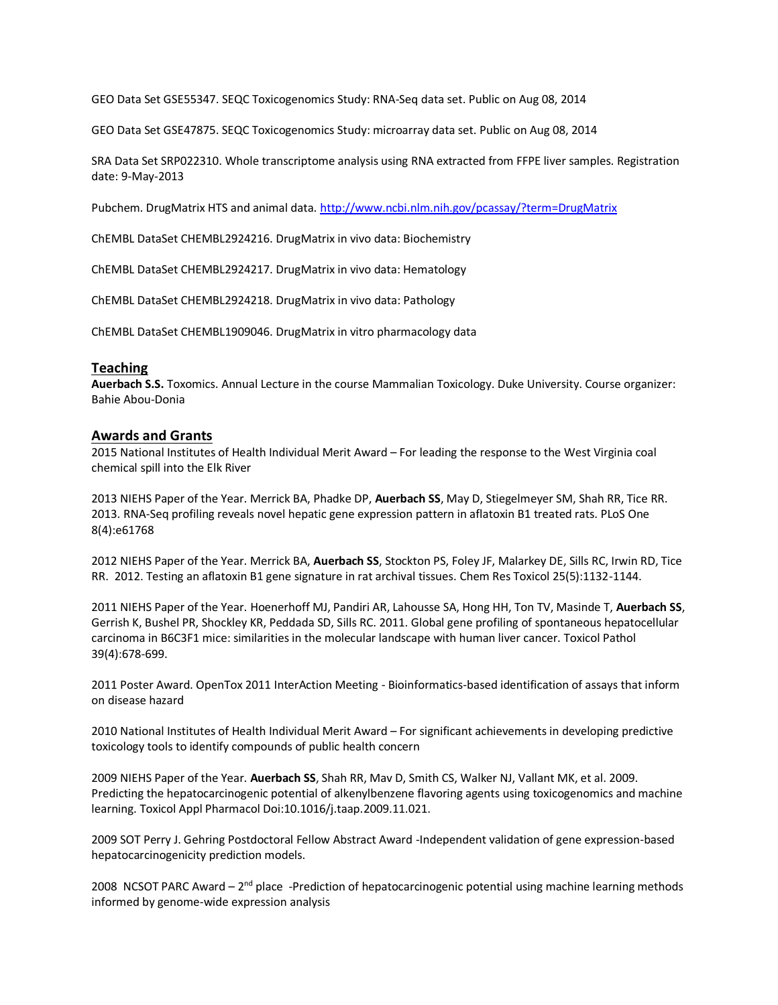GEO Data Set GSE55347. SEQC Toxicogenomics Study: RNA-Seq data set. Public on Aug 08, 2014

GEO Data Set GSE47875. SEQC Toxicogenomics Study: microarray data set. Public on Aug 08, 2014

SRA Data Set SRP022310. Whole transcriptome analysis using RNA extracted from FFPE liver samples. Registration date: 9-May-2013

Pubchem. DrugMatrix HTS and animal data[. http://www.ncbi.nlm.nih.gov/pcassay/?term=DrugMatrix](http://www.ncbi.nlm.nih.gov/pcassay/?term=DrugMatrix)

ChEMBL DataSet CHEMBL2924216. DrugMatrix in vivo data: Biochemistry

ChEMBL DataSet CHEMBL2924217. DrugMatrix in vivo data: Hematology

ChEMBL DataSet CHEMBL2924218. DrugMatrix in vivo data: Pathology

ChEMBL DataSet CHEMBL1909046. DrugMatrix in vitro pharmacology data

### **Teaching**

**Auerbach S.S.** Toxomics. Annual Lecture in the course Mammalian Toxicology. Duke University. Course organizer: Bahie Abou-Donia

### **Awards and Grants**

2015 National Institutes of Health Individual Merit Award – For leading the response to the West Virginia coal chemical spill into the Elk River

2013 NIEHS Paper of the Year. Merrick BA, Phadke DP, **Auerbach SS**, May D, Stiegelmeyer SM, Shah RR, Tice RR. 2013. RNA-Seq profiling reveals novel hepatic gene expression pattern in aflatoxin B1 treated rats. PLoS One 8(4):e61768

2012 NIEHS Paper of the Year. Merrick BA, **Auerbach SS**, Stockton PS, Foley JF, Malarkey DE, Sills RC, Irwin RD, Tice RR. 2012. Testing an aflatoxin B1 gene signature in rat archival tissues. Chem Res Toxicol 25(5):1132-1144.

2011 NIEHS Paper of the Year. Hoenerhoff MJ, Pandiri AR, Lahousse SA, Hong HH, Ton TV, Masinde T, **Auerbach SS**, Gerrish K, Bushel PR, Shockley KR, Peddada SD, Sills RC. 2011. Global gene profiling of spontaneous hepatocellular carcinoma in B6C3F1 mice: similarities in the molecular landscape with human liver cancer. Toxicol Pathol 39(4):678-699.

2011 Poster Award. OpenTox 2011 InterAction Meeting - Bioinformatics-based identification of assays that inform on disease hazard

2010 National Institutes of Health Individual Merit Award – For significant achievements in developing predictive toxicology tools to identify compounds of public health concern

2009 NIEHS Paper of the Year. **Auerbach SS**, Shah RR, Mav D, Smith CS, Walker NJ, Vallant MK, et al. 2009. Predicting the hepatocarcinogenic potential of alkenylbenzene flavoring agents using toxicogenomics and machine learning. Toxicol Appl Pharmacol Doi:10.1016/j.taap.2009.11.021.

2009 SOT Perry J. Gehring Postdoctoral Fellow Abstract Award -Independent validation of gene expression-based hepatocarcinogenicity prediction models.

2008 NCSOT PARC Award - 2<sup>nd</sup> place -Prediction of hepatocarcinogenic potential using machine learning methods informed by genome-wide expression analysis